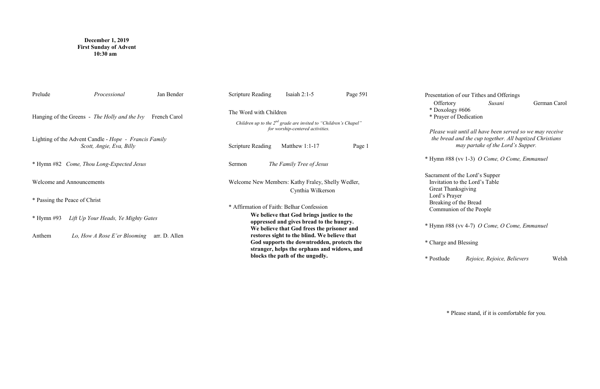# **December 1, 2019 First Sunday of Advent 10:30 am**

| Prelude                                                       | Processional                                                                             | Jan Bender | <b>Scripture Reading</b>                                                                                                                                                                                                                                                         | Isaiah $2:1-5$                  | Page 591 | Presen                          |
|---------------------------------------------------------------|------------------------------------------------------------------------------------------|------------|----------------------------------------------------------------------------------------------------------------------------------------------------------------------------------------------------------------------------------------------------------------------------------|---------------------------------|----------|---------------------------------|
| Hanging of the Greens - The Holly and the Ivy<br>French Carol |                                                                                          |            | The Word with Children<br>Children up to the $2^{nd}$ grade are invited to "Children's Chapel"<br>for worship-centered activities.                                                                                                                                               |                                 |          | Of<br>$*$ Dc<br>$*$ Pra         |
|                                                               | Lighting of the Advent Candle - <i>Hope - Francis Family</i><br>Scott, Angie, Eva, Billy |            | <b>Scripture Reading</b>                                                                                                                                                                                                                                                         | Matthew 1:1-17                  | Page 1   | Plea<br>the                     |
| * Hymn #82 Come, Thou Long-Expected Jesus                     |                                                                                          |            | The Family Tree of Jesus<br>Sermon                                                                                                                                                                                                                                               |                                 |          | * Hym                           |
| <b>Welcome and Announcements</b>                              |                                                                                          |            | Welcome New Members: Kathy Fraley, Shelly Wedler,<br>Cynthia Wilkerson                                                                                                                                                                                                           |                                 |          | Sacrar<br>Invit<br>Grea<br>Lord |
| * Passing the Peace of Christ                                 |                                                                                          |            | * Affirmation of Faith: Belhar Confession                                                                                                                                                                                                                                        |                                 |          | <b>Brea</b>                     |
| $*$ Hymn #93<br>Lift Up Your Heads, Ye Mighty Gates           |                                                                                          |            | We believe that God brings justice to the<br>oppressed and gives bread to the hungry.<br>We believe that God frees the prisoner and<br>restores sight to the blind. We believe that<br>God supports the downtrodden, protects the<br>stranger, helps the orphans and widows, and |                                 |          | Com<br>* Hym                    |
| Anthem<br>Lo, How A Rose E'er Blooming<br>arr. D. Allen       |                                                                                          |            |                                                                                                                                                                                                                                                                                  |                                 |          | * Chai                          |
|                                                               |                                                                                          |            |                                                                                                                                                                                                                                                                                  | blocks the path of the ungodly. |          | * Post                          |

ntation of our Tithes and Offerings ffertory *Susani* **German Carol** oxology #606 ayer of Dedication

*Please wait until all have been served so we may receive the bread and the cup together. All baptized Christians may partake of the Lord's Supper.*

\* Hymn #88 (vv 1-3) *O Come, O Come, Emmanuel* 

ment of the Lord's Supper tation to the Lord's Table at Thanksgiving d's Prayer aking of the Bread nmunion of the People

\* Hymn #88 (vv 4-7) *O Come, O Come, Emmanuel* 

rge and Blessing

\* Postlude *Rejoice, Rejoice, Believers* Welsh

\* Please stand, if it is comfortable for you.